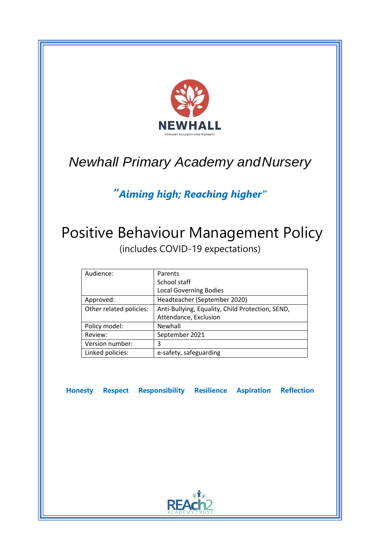

# *Newhall Primary Academy andNursery*

# *"Aiming high; Reaching higher"*

# Positive Behaviour Management Policy (includes COVID-19 expectations)

| Audience:               | Parents                                          |
|-------------------------|--------------------------------------------------|
|                         | School staff                                     |
|                         | <b>Local Governing Bodies</b>                    |
| Approved:               | Headteacher (September 2020)                     |
| Other related policies: | Anti-Bullying, Equality, Child Protection, SEND, |
|                         | Attendance, Exclusion                            |
| Policy model:           | Newhall                                          |
| Review:                 | September 2021                                   |
| Version number:         | 3                                                |
| Linked policies:        | e-safety, safeguarding                           |

**Honesty Respect Responsibility Resilience Aspiration Reflection**

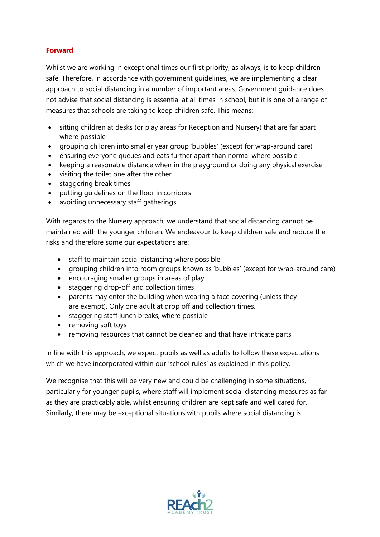# **Forward**

Whilst we are working in exceptional times our first priority, as always, is to keep children safe. Therefore, in accordance with government guidelines, we are implementing a clear approach to social distancing in a number of important areas. Government guidance does not advise that social distancing is essential at all times in school, but it is one of a range of measures that schools are taking to keep children safe. This means:

- sitting children at desks (or play areas for Reception and Nursery) that are far apart where possible
- grouping children into smaller year group 'bubbles' (except for wrap-around care)
- ensuring everyone queues and eats further apart than normal where possible
- keeping a reasonable distance when in the playground or doing any physical exercise
- visiting the toilet one after the other
- staggering break times
- putting guidelines on the floor in corridors
- avoiding unnecessary staff gatherings

With regards to the Nursery approach, we understand that social distancing cannot be maintained with the younger children. We endeavour to keep children safe and reduce the risks and therefore some our expectations are:

- staff to maintain social distancing where possible
- grouping children into room groups known as 'bubbles' (except for wrap-around care)
- encouraging smaller groups in areas of play
- staggering drop-off and collection times
- parents may enter the building when wearing a face covering (unless they are exempt). Only one adult at drop off and collection times.
- staggering staff lunch breaks, where possible
- removing soft toys
- removing resources that cannot be cleaned and that have intricate parts

In line with this approach, we expect pupils as well as adults to follow these expectations which we have incorporated within our 'school rules' as explained in this policy.

We recognise that this will be very new and could be challenging in some situations, particularly for younger pupils, where staff will implement social distancing measures as far as they are practicably able, whilst ensuring children are kept safe and well cared for. Similarly, there may be exceptional situations with pupils where social distancing is

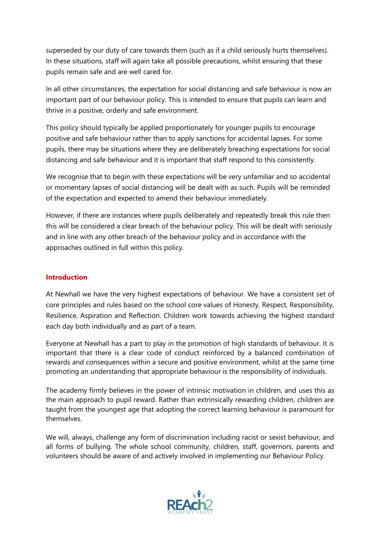superseded by our duty of care towards them (such as if a child seriously hurts themselves). In these situations, staff will again take all possible precautions, whilst ensuring that these pupils remain safe and are well cared for.

In all other circumstances, the expectation for social distancing and safe behaviour is now an important part of our behaviour policy. This is intended to ensure that pupils can learn and thrive in a positive, orderly and safe environment.

This policy should typically be applied proportionately for younger pupils to encourage positive and safe behaviour rather than to apply sanctions for accidental lapses. For some pupils, there may be situations where they are deliberately breaching expectations for social distancing and safe behaviour and it is important that staff respond to this consistently.

We recognise that to begin with these expectations will be very unfamiliar and so accidental or momentary lapses of social distancing will be dealt with as such. Pupils will be reminded of the expectation and expected to amend their behaviour immediately.

However, if there are instances where pupils deliberately and repeatedly break this rule then this will be considered a clear breach of the behaviour policy. This will be dealt with seriously and in line with any other breach of the behaviour policy and in accordance with the approaches outlined in full within this policy.

# **Introduction**

At Newhall we have the very highest expectations of behaviour. We have a consistent set of core principles and rules based on the school core values of Honesty, Respect, Responsibility, Resilience, Aspiration and Reflection. Children work towards achieving the highest standard each day both individually and as part of a team.

Everyone at Newhall has a part to play in the promotion of high standards of behaviour. It is important that there is a clear code of conduct reinforced by a balanced combination of rewards and consequences within a secure and positive environment, whilst at the same time promoting an understanding that appropriate behaviour is the responsibility of individuals.

The academy firmly believes in the power of intrinsic motivation in children, and uses this as the main approach to pupil reward. Rather than extrinsically rewarding children, children are taught from the youngest age that adopting the correct learning behaviour is paramount for themselves.

We will, always, challenge any form of discrimination including racist or sexist behaviour, and all forms of bullying. The whole school community, children, staff, governors, parents and volunteers should be aware of and actively involved in implementing our Behaviour Policy.

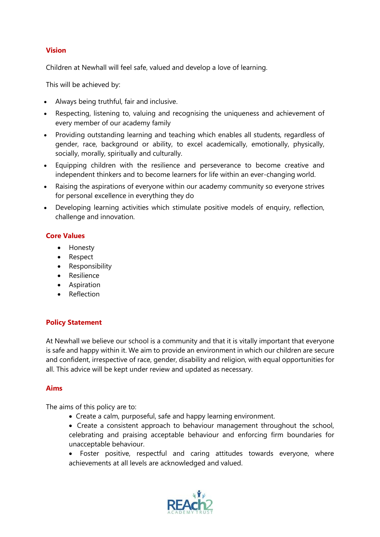#### **Vision**

Children at Newhall will feel safe, valued and develop a love of learning.

This will be achieved by:

- Always being truthful, fair and inclusive.
- Respecting, listening to, valuing and recognising the uniqueness and achievement of every member of our academy family
- Providing outstanding learning and teaching which enables all students, regardless of gender, race, background or ability, to excel academically, emotionally, physically, socially, morally, spiritually and culturally.
- Equipping children with the resilience and perseverance to become creative and independent thinkers and to become learners for life within an ever-changing world.
- Raising the aspirations of everyone within our academy community so everyone strives for personal excellence in everything they do
- Developing learning activities which stimulate positive models of enquiry, reflection, challenge and innovation.

#### **Core Values**

- Honesty
- Respect
- Responsibility
- Resilience
- Aspiration
- Reflection

# **Policy Statement**

At Newhall we believe our school is a community and that it is vitally important that everyone is safe and happy within it. We aim to provide an environment in which our children are secure and confident, irrespective of race, gender, disability and religion, with equal opportunities for all. This advice will be kept under review and updated as necessary.

#### **Aims**

The aims of this policy are to:

- Create a calm, purposeful, safe and happy learning environment.
- Create a consistent approach to behaviour management throughout the school, celebrating and praising acceptable behaviour and enforcing firm boundaries for unacceptable behaviour.
- Foster positive, respectful and caring attitudes towards everyone, where achievements at all levels are acknowledged and valued.

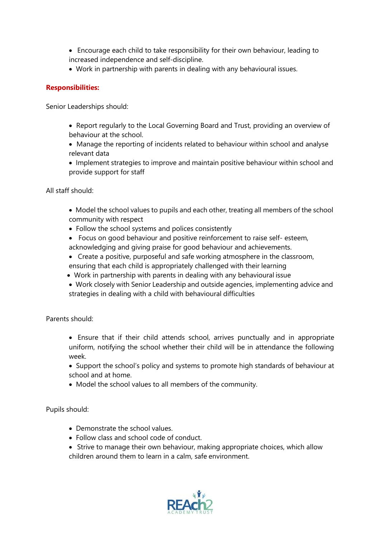- Encourage each child to take responsibility for their own behaviour, leading to increased independence and self-discipline.
- Work in partnership with parents in dealing with any behavioural issues.

# **Responsibilities:**

Senior Leaderships should:

- Report regularly to the Local Governing Board and Trust, providing an overview of behaviour at the school.
- Manage the reporting of incidents related to behaviour within school and analyse relevant data
- Implement strategies to improve and maintain positive behaviour within school and provide support for staff

All staff should:

- Model the school values to pupils and each other, treating all members of the school community with respect
- Follow the school systems and polices consistently
- Focus on good behaviour and positive reinforcement to raise self- esteem,
- acknowledging and giving praise for good behaviour and achievements.
- Create a positive, purposeful and safe working atmosphere in the classroom, ensuring that each child is appropriately challenged with their learning
- Work in partnership with parents in dealing with any behavioural issue
- Work closely with Senior Leadership and outside agencies, implementing advice and strategies in dealing with a child with behavioural difficulties

Parents should:

- Ensure that if their child attends school, arrives punctually and in appropriate uniform, notifying the school whether their child will be in attendance the following week.
- Support the school's policy and systems to promote high standards of behaviour at school and at home.
- Model the school values to all members of the community.

Pupils should:

- Demonstrate the school values.
- Follow class and school code of conduct.
- Strive to manage their own behaviour, making appropriate choices, which allow children around them to learn in a calm, safe environment.

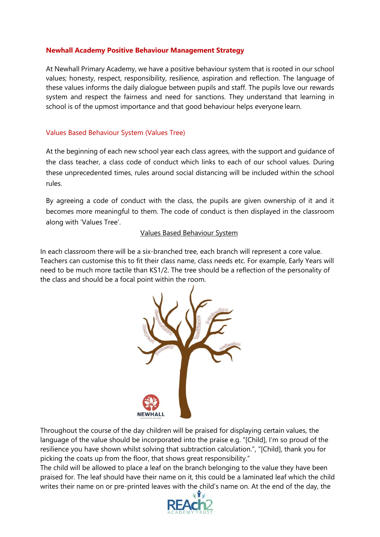#### **Newhall Academy Positive Behaviour Management Strategy**

At Newhall Primary Academy, we have a positive behaviour system that is rooted in our school values; honesty, respect, responsibility, resilience, aspiration and reflection. The language of these values informs the daily dialogue between pupils and staff. The pupils love our rewards system and respect the fairness and need for sanctions. They understand that learning in school is of the upmost importance and that good behaviour helps everyone learn.

#### Values Based Behaviour System (Values Tree)

At the beginning of each new school year each class agrees, with the support and guidance of the class teacher, a class code of conduct which links to each of our school values. During these unprecedented times, rules around social distancing will be included within the school rules.

By agreeing a code of conduct with the class, the pupils are given ownership of it and it becomes more meaningful to them. The code of conduct is then displayed in the classroom along with 'Values Tree'.

#### Values Based Behaviour System

In each classroom there will be a six-branched tree, each branch will represent a core value. Teachers can customise this to fit their class name, class needs etc. For example, Early Years will need to be much more tactile than KS1/2. The tree should be a reflection of the personality of the class and should be a focal point within the room.



Throughout the course of the day children will be praised for displaying certain values, the language of the value should be incorporated into the praise e.g. "[Child], I'm so proud of the resilience you have shown whilst solving that subtraction calculation.", "[Child], thank you for picking the coats up from the floor, that shows great responsibility."

The child will be allowed to place a leaf on the branch belonging to the value they have been praised for. The leaf should have their name on it, this could be a laminated leaf which the child writes their name on or pre-printed leaves with the child's name on. At the end of the day, the

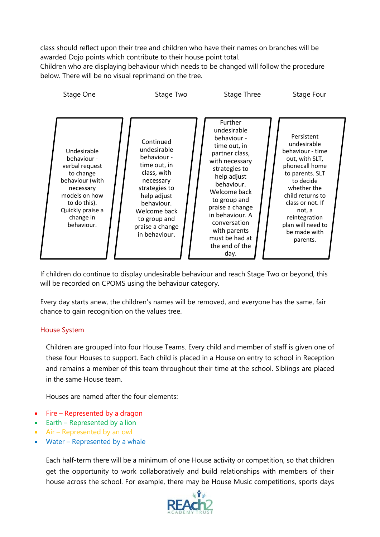class should reflect upon their tree and children who have their names on branches will be awarded Dojo points which contribute to their house point total.

Children who are displaying behaviour which needs to be changed will follow the procedure below. There will be no visual reprimand on the tree.



If children do continue to display undesirable behaviour and reach Stage Two or beyond, this will be recorded on CPOMS using the behaviour category.

Every day starts anew, the children's names will be removed, and everyone has the same, fair chance to gain recognition on the values tree.

#### House System

Children are grouped into four House Teams. Every child and member of staff is given one of these four Houses to support. Each child is placed in a House on entry to school in Reception and remains a member of this team throughout their time at the school. Siblings are placed in the same House team.

Houses are named after the four elements:

- Fire Represented by a dragon
- Earth Represented by a lion
- Air Represented by an owl
- Water Represented by a whale

Each half-term there will be a minimum of one House activity or competition, so that children get the opportunity to work collaboratively and build relationships with members of their house across the school. For example, there may be House Music competitions, sports days

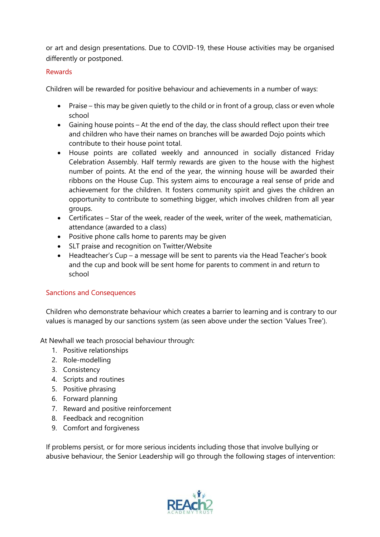or art and design presentations. Due to COVID-19, these House activities may be organised differently or postponed.

# Rewards

Children will be rewarded for positive behaviour and achievements in a number of ways:

- Praise this may be given quietly to the child or in front of a group, class or even whole school
- Gaining house points At the end of the day, the class should reflect upon their tree and children who have their names on branches will be awarded Dojo points which contribute to their house point total.
- House points are collated weekly and announced in socially distanced Friday Celebration Assembly. Half termly rewards are given to the house with the highest number of points. At the end of the year, the winning house will be awarded their ribbons on the House Cup. This system aims to encourage a real sense of pride and achievement for the children. It fosters community spirit and gives the children an opportunity to contribute to something bigger, which involves children from all year groups.
- Certificates Star of the week, reader of the week, writer of the week, mathematician, attendance (awarded to a class)
- Positive phone calls home to parents may be given
- SLT praise and recognition on Twitter/Website
- Headteacher's Cup a message will be sent to parents via the Head Teacher's book and the cup and book will be sent home for parents to comment in and return to school

# Sanctions and Consequences

Children who demonstrate behaviour which creates a barrier to learning and is contrary to our values is managed by our sanctions system (as seen above under the section 'Values Tree').

At Newhall we teach prosocial behaviour through:

- 1. Positive relationships
- 2. Role-modelling
- 3. Consistency
- 4. Scripts and routines
- 5. Positive phrasing
- 6. Forward planning
- 7. Reward and positive reinforcement
- 8. Feedback and recognition
- 9. Comfort and forgiveness

If problems persist, or for more serious incidents including those that involve bullying or abusive behaviour, the Senior Leadership will go through the following stages of intervention:

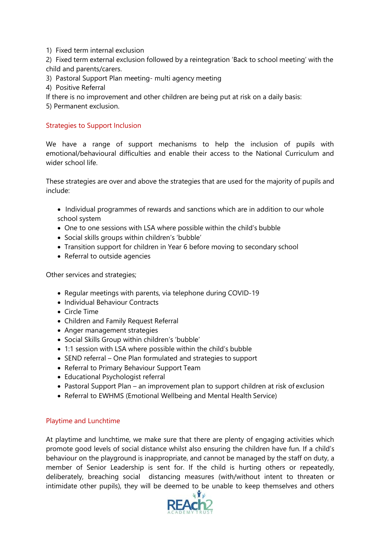1) Fixed term internal exclusion

2) Fixed term external exclusion followed by a reintegration 'Back to school meeting' with the child and parents/carers.

- 3) Pastoral Support Plan meeting- multi agency meeting
- 4) Positive Referral
- If there is no improvement and other children are being put at risk on a daily basis:
- 5) Permanent exclusion.

#### Strategies to Support Inclusion

We have a range of support mechanisms to help the inclusion of pupils with emotional/behavioural difficulties and enable their access to the National Curriculum and wider school life.

These strategies are over and above the strategies that are used for the majority of pupils and include:

- Individual programmes of rewards and sanctions which are in addition to our whole school system
- One to one sessions with LSA where possible within the child's bubble
- Social skills groups within children's 'bubble'
- Transition support for children in Year 6 before moving to secondary school
- Referral to outside agencies

Other services and strategies;

- Regular meetings with parents, via telephone during COVID-19
- Individual Behaviour Contracts
- Circle Time
- Children and Family Request Referral
- Anger management strategies
- Social Skills Group within children's 'bubble'
- 1:1 session with LSA where possible within the child's bubble
- SEND referral One Plan formulated and strategies to support
- Referral to Primary Behaviour Support Team
- Educational Psychologist referral
- Pastoral Support Plan an improvement plan to support children at risk of exclusion
- Referral to EWHMS (Emotional Wellbeing and Mental Health Service)

#### Playtime and Lunchtime

At playtime and lunchtime, we make sure that there are plenty of engaging activities which promote good levels of social distance whilst also ensuring the children have fun. If a child's behaviour on the playground is inappropriate, and cannot be managed by the staff on duty, a member of Senior Leadership is sent for. If the child is hurting others or repeatedly, deliberately, breaching social distancing measures (with/without intent to threaten or intimidate other pupils), they will be deemed to be unable to keep themselves and others

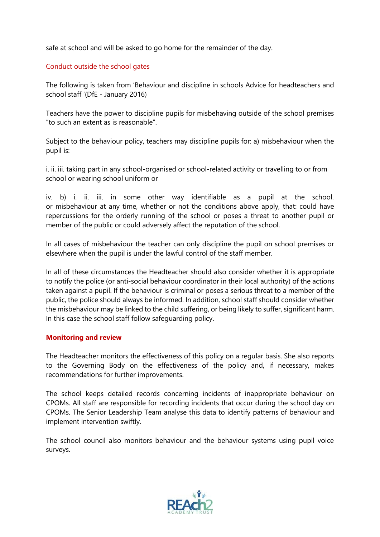safe at school and will be asked to go home for the remainder of the day.

# Conduct outside the school gates

The following is taken from 'Behaviour and discipline in schools Advice for headteachers and school staff '(DfE - January 2016)

Teachers have the power to discipline pupils for misbehaving outside of the school premises "to such an extent as is reasonable".

Subject to the behaviour policy, teachers may discipline pupils for: a) misbehaviour when the pupil is:

i. ii. iii. taking part in any school-organised or school-related activity or travelling to or from school or wearing school uniform or

iv. b) i. ii. iii. in some other way identifiable as a pupil at the school. or misbehaviour at any time, whether or not the conditions above apply, that: could have repercussions for the orderly running of the school or poses a threat to another pupil or member of the public or could adversely affect the reputation of the school.

In all cases of misbehaviour the teacher can only discipline the pupil on school premises or elsewhere when the pupil is under the lawful control of the staff member.

In all of these circumstances the Headteacher should also consider whether it is appropriate to notify the police (or anti-social behaviour coordinator in their local authority) of the actions taken against a pupil. If the behaviour is criminal or poses a serious threat to a member of the public, the police should always be informed. In addition, school staff should consider whether the misbehaviour may be linked to the child suffering, or being likely to suffer, significant harm. In this case the school staff follow safeguarding policy.

# **Monitoring and review**

The Headteacher monitors the effectiveness of this policy on a regular basis. She also reports to the Governing Body on the effectiveness of the policy and, if necessary, makes recommendations for further improvements.

The school keeps detailed records concerning incidents of inappropriate behaviour on CPOMs. All staff are responsible for recording incidents that occur during the school day on CPOMs. The Senior Leadership Team analyse this data to identify patterns of behaviour and implement intervention swiftly.

The school council also monitors behaviour and the behaviour systems using pupil voice surveys.

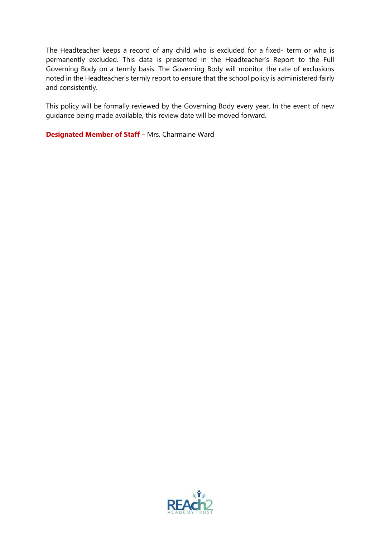The Headteacher keeps a record of any child who is excluded for a fixed- term or who is permanently excluded. This data is presented in the Headteacher's Report to the Full Governing Body on a termly basis. The Governing Body will monitor the rate of exclusions noted in the Headteacher's termly report to ensure that the school policy is administered fairly and consistently.

This policy will be formally reviewed by the Governing Body every year. In the event of new guidance being made available, this review date will be moved forward.

**Designated Member of Staff** – Mrs. Charmaine Ward

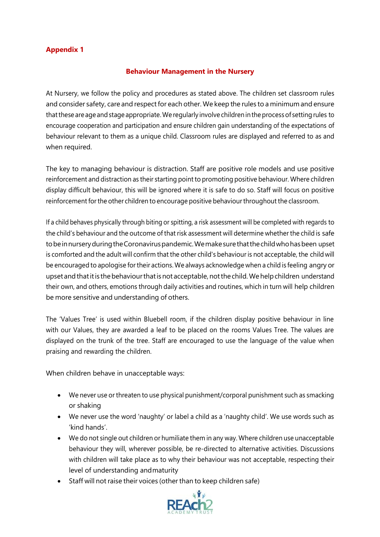# **Appendix 1**

# **Behaviour Management in the Nursery**

At Nursery, we follow the policy and procedures as stated above. The children set classroom rules and consider safety, care and respect for each other. We keep the rules to a minimum and ensure that these are age and stage appropriate. We regularly involve children in the process of setting rules to encourage cooperation and participation and ensure children gain understanding of the expectations of behaviour relevant to them as a unique child. Classroom rules are displayed and referred to as and when required.

The key to managing behaviour is distraction. Staff are positive role models and use positive reinforcement and distraction as their starting point to promoting positive behaviour. Where children display difficult behaviour, this will be ignored where it is safe to do so. Staff will focus on positive reinforcement for the other children to encourage positive behaviour throughout the classroom.

If a child behaves physically through biting or spitting, a risk assessment will be completed with regards to the child's behaviour and the outcome of that risk assessment will determine whether the child is safe tobeinnurseryduringtheCoronaviruspandemic.Wemakesurethatthechildwhohasbeen upset is comforted and the adult will confirm that the other child's behaviour is not acceptable, the child will be encouraged to apologise fortheir actions. We always acknowledge when a child is feeling angry or upset and that it is the behaviour that is not acceptable, not the child. We help children understand their own, and others, emotions through daily activities and routines, which in turn will help children be more sensitive and understanding of others.

The 'Values Tree' is used within Bluebell room, if the children display positive behaviour in line with our Values, they are awarded a leaf to be placed on the rooms Values Tree. The values are displayed on the trunk of the tree. Staff are encouraged to use the language of the value when praising and rewarding the children.

When children behave in unacceptable ways:

- We never use or threaten to use physical punishment/corporal punishment such as smacking or shaking
- We never use the word 'naughty' or label a child as a 'naughty child'. We use words such as 'kind hands'.
- We do not single out children or humiliate them in any way. Where children use unacceptable behaviour they will, wherever possible, be re-directed to alternative activities. Discussions with children will take place as to why their behaviour was not acceptable, respecting their level of understanding andmaturity
- Staff will not raise their voices (other than to keep children safe)